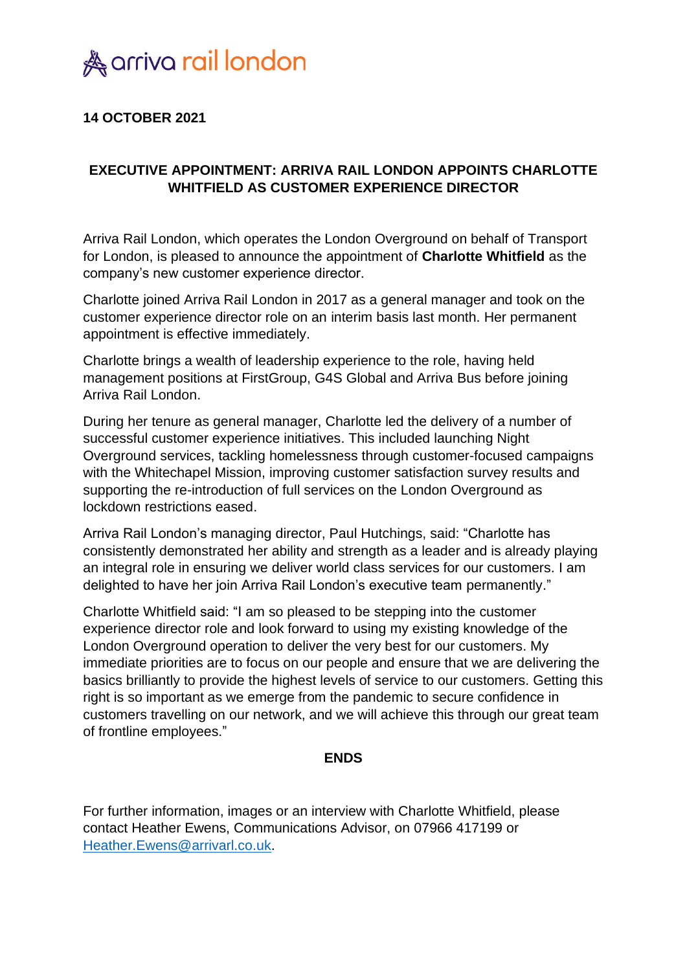

## **14 OCTOBER 2021**

## **EXECUTIVE APPOINTMENT: ARRIVA RAIL LONDON APPOINTS CHARLOTTE WHITFIELD AS CUSTOMER EXPERIENCE DIRECTOR**

Arriva Rail London, which operates the London Overground on behalf of Transport for London, is pleased to announce the appointment of **Charlotte Whitfield** as the company's new customer experience director.

Charlotte joined Arriva Rail London in 2017 as a general manager and took on the customer experience director role on an interim basis last month. Her permanent appointment is effective immediately.

Charlotte brings a wealth of leadership experience to the role, having held management positions at FirstGroup, G4S Global and Arriva Bus before joining Arriva Rail London.

During her tenure as general manager, Charlotte led the delivery of a number of successful customer experience initiatives. This included launching Night Overground services, tackling homelessness through customer-focused campaigns with the Whitechapel Mission, improving customer satisfaction survey results and supporting the re-introduction of full services on the London Overground as lockdown restrictions eased.

Arriva Rail London's managing director, Paul Hutchings, said: "Charlotte has consistently demonstrated her ability and strength as a leader and is already playing an integral role in ensuring we deliver world class services for our customers. I am delighted to have her join Arriva Rail London's executive team permanently."

Charlotte Whitfield said: "I am so pleased to be stepping into the customer experience director role and look forward to using my existing knowledge of the London Overground operation to deliver the very best for our customers. My immediate priorities are to focus on our people and ensure that we are delivering the basics brilliantly to provide the highest levels of service to our customers. Getting this right is so important as we emerge from the pandemic to secure confidence in customers travelling on our network, and we will achieve this through our great team of frontline employees."

## **ENDS**

For further information, images or an interview with Charlotte Whitfield, please contact Heather Ewens, Communications Advisor, on 07966 417199 or [Heather.Ewens@arrivarl.co.uk.](mailto:Heather.Ewens@arrivarl.co.uk)